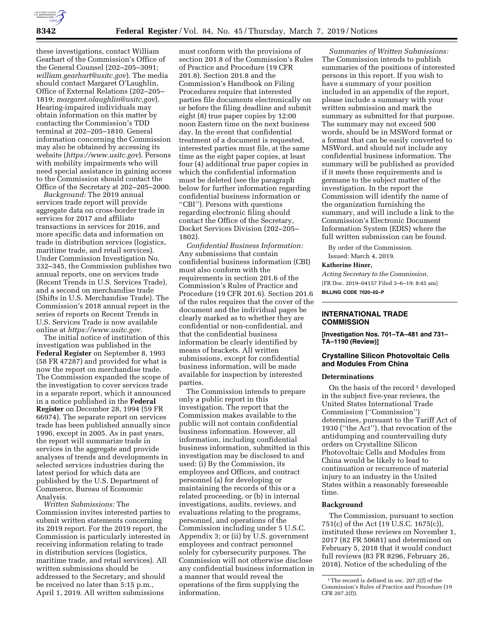

these investigations, contact William Gearhart of the Commission's Office of the General Counsel (202–205–3091; *[william.gearhart@usitc.gov](mailto:william.gearhart@usitc.gov)*). The media should contact Margaret O'Laughlin, Office of External Relations (202–205– 1819; *[margaret.olaughlin@usitc.gov](mailto:margaret.olaughlin@usitc.gov)*). Hearing-impaired individuals may obtain information on this matter by contacting the Commission's TDD terminal at 202–205–1810. General information concerning the Commission may also be obtained by accessing its website (*<https://www.usitc.gov>*). Persons with mobility impairments who will need special assistance in gaining access to the Commission should contact the Office of the Secretary at 202–205–2000.

*Background:* The 2019 annual services trade report will provide aggregate data on cross-border trade in services for 2017 and affiliate transactions in services for 2016, and more specific data and information on trade in distribution services (logistics, maritime trade, and retail services). Under Commission Investigation No. 332–345, the Commission publishes two annual reports, one on services trade (Recent Trends in U.S. Services Trade), and a second on merchandise trade (Shifts in U.S. Merchandise Trade). The Commission's 2018 annual report in the series of reports on Recent Trends in U.S. Services Trade is now available online at *<https://www.usitc.gov>*.

The initial notice of institution of this investigation was published in the **Federal Register** on September 8, 1993 (58 FR 47287) and provided for what is now the report on merchandise trade. The Commission expanded the scope of the investigation to cover services trade in a separate report, which it announced in a notice published in the **Federal Register** on December 28, 1994 (59 FR 66974). The separate report on services trade has been published annually since 1996, except in 2005. As in past years, the report will summarize trade in services in the aggregate and provide analyses of trends and developments in selected services industries during the latest period for which data are published by the U.S. Department of Commerce, Bureau of Economic Analysis.

*Written Submissions:* The Commission invites interested parties to submit written statements concerning its 2019 report. For the 2019 report, the Commission is particularly interested in receiving information relating to trade in distribution services (logistics, maritime trade, and retail services). All written submissions should be addressed to the Secretary, and should be received no later than 5:15 p.m., April 1, 2019. All written submissions

must conform with the provisions of section 201.8 of the Commission's Rules of Practice and Procedure (19 CFR 201.8). Section 201.8 and the Commission's Handbook on Filing Procedures require that interested parties file documents electronically on or before the filing deadline and submit eight (8) true paper copies by 12:00 noon Eastern time on the next business day. In the event that confidential treatment of a document is requested, interested parties must file, at the same time as the eight paper copies, at least four (4) additional true paper copies in which the confidential information must be deleted (see the paragraph below for further information regarding confidential business information or ''CBI''). Persons with questions regarding electronic filing should contact the Office of the Secretary, Docket Services Division (202–205– 1802).

*Confidential Business Information:*  Any submissions that contain confidential business information (CBI) must also conform with the requirements in section 201.6 of the Commission's Rules of Practice and Procedure (19 CFR 201.6). Section 201.6 of the rules requires that the cover of the document and the individual pages be clearly marked as to whether they are confidential or non-confidential, and that the confidential business information be clearly identified by means of brackets. All written submissions, except for confidential business information, will be made available for inspection by interested parties.

The Commission intends to prepare only a public report in this investigation. The report that the Commission makes available to the public will not contain confidential business information. However, all information, including confidential business information, submitted in this investigation may be disclosed to and used: (i) By the Commission, its employees and Offices, and contract personnel (a) for developing or maintaining the records of this or a related proceeding, or (b) in internal investigations, audits, reviews, and evaluations relating to the programs, personnel, and operations of the Commission including under 5 U.S.C. Appendix 3; or (ii) by U.S. government employees and contract personnel solely for cybersecurity purposes. The Commission will not otherwise disclose any confidential business information in a manner that would reveal the operations of the firm supplying the information.

*Summaries of Written Submissions:*  The Commission intends to publish summaries of the positions of interested persons in this report. If you wish to have a summary of your position included in an appendix of the report, please include a summary with your written submission and mark the summary as submitted for that purpose. The summary may not exceed 500 words, should be in MSWord format or a format that can be easily converted to MSWord, and should not include any confidential business information. The summary will be published as provided if it meets these requirements and is germane to the subject matter of the investigation. In the report the Commission will identify the name of the organization furnishing the summary, and will include a link to the Commission's Electronic Document Information System (EDIS) where the full written submission can be found.

By order of the Commission.

Issued: March 4, 2019.

## **Katherine Hiner,**

*Acting Secretary to the Commission.*  [FR Doc. 2019–04157 Filed 3–6–19; 8:45 am] **BILLING CODE 7020–02–P** 

# **INTERNATIONAL TRADE COMMISSION**

**[Investigation Nos. 701–TA–481 and 731– TA–1190 (Review)]** 

# **Crystalline Silicon Photovoltaic Cells and Modules From China**

## **Determinations**

On the basis of the record<sup>1</sup> developed in the subject five-year reviews, the United States International Trade Commission (''Commission'') determines, pursuant to the Tariff Act of 1930 (''the Act''), that revocation of the antidumping and countervailing duty orders on Crystalline Silicon Photovoltaic Cells and Modules from China would be likely to lead to continuation or recurrence of material injury to an industry in the United States within a reasonably foreseeable time.

#### **Background**

The Commission, pursuant to section 751(c) of the Act (19 U.S.C. 1675(c)), instituted these reviews on November 1, 2017 (82 FR 50681) and determined on February 5, 2018 that it would conduct full reviews (83 FR 8296, February 26, 2018). Notice of the scheduling of the

<sup>&</sup>lt;sup>1</sup>The record is defined in sec. 207.2(f) of the Commission's Rules of Practice and Procedure (19 CFR 207.2(f)).